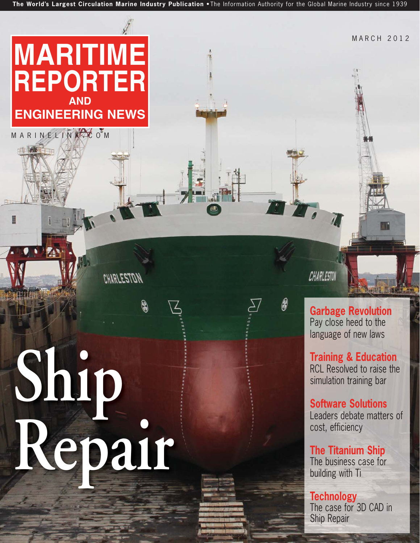**The World's Largest Circulation Marine Industry Publication** • The Information Authority for the Global Marine Industry since 1939

**Ship Repair**

CHARLESTON

Q

MARINELINKE OM

1 8

**MARITIME**

**REPORTER**

**AND**

**ENGINEERING NEWS**

CHARLESTON

**Garbage Revolution** Pay close heed to the language of new laws

MARCH 2012

**Training & Education** RCL Resolved to raise the simulation training bar

**Software Solutions** Leaders debate matters of cost, efficiency

**The Titanium Ship** The business case for building with Ti

**Technology** The case for 3D CAD in Ship Repair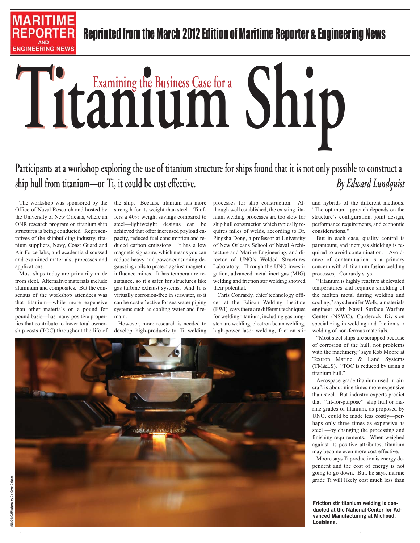

### **Participants at a workshop exploring the use of titanium structure for ships found that it is not only possible to construct a ship hull from titanium—or Ti, it could be cost effective.** *By Edward Lundquist*

The workshop was sponsored by the Office of Naval Research and hosted by the University of New Orleans, where an ONR research program on titanium ship structures is being conducted. Representatives of the shipbuilding industry, titanium suppliers, Navy, Coast Guard and Air Force labs, and academia discussed and examined materials, processes and applications.

**MARITIME** 

**ENGINEERING NEWS** 

Most ships today are primarily made from steel. Alternative materials include aluminum and composites. But the consensus of the workshop attendees was that titanium—while more expensive than other materials on a pound for pound basis—has many positive properties that contribute to lower total ownership costs (TOC) throughout the life of

the ship. Because titanium has more strength for its weight than steel—Ti offers a 40% weight savings compared to steel—lightweight designs can be achieved that offer increased payload capacity, reduced fuel consumption and reduced carbon emissions. It has a low magnetic signature, which means you can reduce heavy and power-consuming degaussing coils to protect against magnetic influence mines. It has temperature resistance, so it's safer for structures like gas turbine exhaust systems. And Ti is virtually corrosion-free in seawater, so it can be cost effective for sea water piping systems such as cooling water and firemain.

However, more research is needed to develop high-productivity Ti welding processes for ship construction. Although well established, the existing titanium welding processes are too slow for ship hull construction which typically requires miles of welds, according to Dr. Pingsha Dong, a professor at University of New Orleans School of Naval Architecture and Marine Engineering, and director of UNO's Welded Structures Laboratory. Through the UNO investigation, advanced metal inert gas (MIG) welding and friction stir welding showed their potential.

Chris Conrardy, chief technology officer at the Edison Welding Institute (EWI), says there are different techniques for welding titanium, including gas tungsten arc welding, electron beam welding, high-power laser welding, friction stir and hybrids of the different methods. "The optimum approach depends on the structure's configuration, joint design, performance requirements, and economic considerations."

But in each case, quality control is paramount, and inert gas shielding is required to avoid contamination. "Avoidance of contamination is a primary concern with all titanium fusion welding processes," Conrardy says.

"Titanium is highly reactive at elevated temperatures and requires shielding of the molten metal during welding and cooling," says Jennifer Wolk, a materials engineer with Naval Surface Warfare Center (NSWC), Carderock Division specializing in welding and friction stir welding of non-ferrous materials.

"Most steel ships are scrapped because of corrosion of the hull, not problems with the machinery," says Rob Moore at Textron Marine & Land Systems (TM&LS). "TOC is reduced by using a titanium hull."

Aerospace grade titanium used in aircraft is about nine times more expensive than steel. But industry experts predict that "fit-for-purpose" ship hull or marine grades of titanium, as proposed by UNO, could be made less costly—perhaps only three times as expensive as steel —by changing the processing and finishing requirements. When weighed against its positive attributes, titanium may become even more cost effective.

Moore says Ti production is energy dependent and the cost of energy is not going to go down. But, he says, marine grade Ti will likely cost much less than

**Friction stir titanium welding is conducted at the National Center for Advanced Manufacturing at Michoud, Louisiana.** 

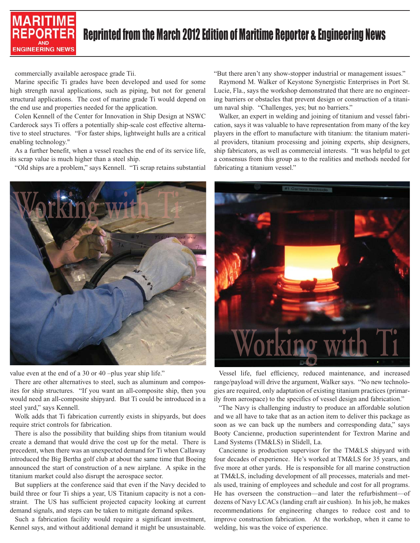

commercially available aerospace grade Tii.

Marine specific Ti grades have been developed and used for some high strength naval applications, such as piping, but not for general structural applications. The cost of marine grade Ti would depend on the end use and properties needed for the application.

Colen Kennell of the Center for Innovation in Ship Design at NSWC Carderock says Ti offers a potentially ship-scale cost effective alternative to steel structures. "For faster ships, lightweight hulls are a critical enabling technology."

As a further benefit, when a vessel reaches the end of its service life, its scrap value is much higher than a steel ship.

"Old ships are a problem," says Kennell. "Ti scrap retains substantial

"But there aren't any show-stopper industrial or management issues."

Raymond M. Walker of Keystone Synergistic Enterprises in Port St. Lucie, Fla., says the workshop demonstrated that there are no engineering barriers or obstacles that prevent design or construction of a titanium naval ship. "Challenges, yes; but no barriers."

Walker, an expert in welding and joining of titanium and vessel fabrication, says it was valuable to have representation from many of the key players in the effort to manufacture with titanium: the titanium material providers, titanium processing and joining experts, ship designers, ship fabricators, as well as commercial interests. "It was helpful to get a consensus from this group as to the realities and methods needed for fabricating a titanium vessel."



value even at the end of a 30 or 40 –plus year ship life."

There are other alternatives to steel, such as aluminum and composites for ship structures. "If you want an all-composite ship, then you would need an all-composite shipyard. But Ti could be introduced in a steel yard," says Kennell.

Wolk adds that Ti fabrication currently exists in shipyards, but does require strict controls for fabrication.

There is also the possibility that building ships from titanium would create a demand that would drive the cost up for the metal. There is precedent, when there was an unexpected demand for Ti when Callaway introduced the Big Bertha golf club at about the same time that Boeing announced the start of construction of a new airplane. A spike in the titanium market could also disrupt the aerospace sector.

But suppliers at the conference said that even if the Navy decided to build three or four Ti ships a year, US Titanium capacity is not a constraint. The US has sufficient projected capacity looking at current demand signals, and steps can be taken to mitigate demand spikes.

Such a fabrication facility would require a significant investment, Kennel says, and without additional demand it might be unsustainable.



Vessel life, fuel efficiency, reduced maintenance, and increased range/payload will drive the argument, Walker says. "No new technologies are required, only adaptation of existing titanium practices (primarily from aerospace) to the specifics of vessel design and fabrication."

"The Navy is challenging industry to produce an affordable solution and we all have to take that as an action item to deliver this package as soon as we can back up the numbers and corresponding data," says Booty Cancienne, production superintendent for Textron Marine and Land Systems (TM&LS) in Slidell, La.

Cancienne is production supervisor for the TM&LS shipyard with four decades of experience. He's worked at TM&LS for 35 years, and five more at other yards. He is responsible for all marine construction at TM&LS, including development of all processes, materials and metals used, training of employees and schedule and cost for all programs. He has overseen the construction—and later the refurbishment—of dozens of Navy LCACs (landing craft air cushion). In his job, he makes recommendations for engineering changes to reduce cost and to improve construction fabrication. At the workshop, when it came to welding, his was the voice of experience.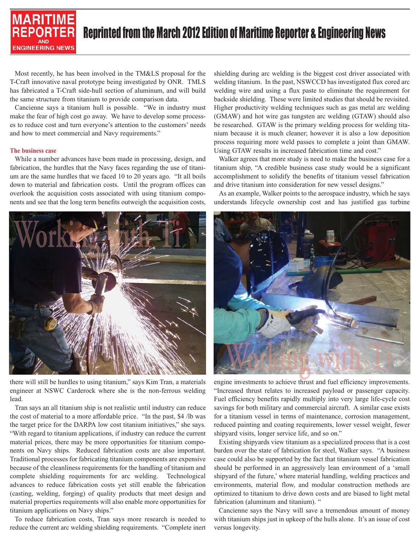

Most recently, he has been involved in the TM&LS proposal for the T-Craft innovative naval prototype being investigated by ONR. TMLS has fabricated a T-Craft side-hull section of aluminum, and will build the same structure from titanium to provide comparison data.

Cancienne says a titanium hull is possible. "We in industry must make the fear of high cost go away. We have to develop some processes to reduce cost and turn everyone's attention to the customers' needs and how to meet commercial and Navy requirements."

#### **The business case**

While a number advances have been made in processing, design, and fabrication, the hurdles that the Navy faces regarding the use of titanium are the same hurdles that we faced 10 to 20 years ago. "It all boils down to material and fabrication costs. Until the program offices can overlook the acquisition costs associated with using titanium components and see that the long term benefits outweigh the acquisition costs,



there will still be hurdles to using titanium," says Kim Tran, a materials engineer at NSWC Carderock where she is the non-ferrous welding lead.

Tran says an all titanium ship is not realistic until industry can reduce the cost of material to a more affordable price. "In the past, \$4 /lb was the target price for the DARPA low cost titanium initiatives," she says. "With regard to titanium applications, if industry can reduce the current material prices, there may be more opportunities for titanium components on Navy ships. Reduced fabrication costs are also important. Traditional processes for fabricating titanium components are expensive because of the cleanliness requirements for the handling of titanium and complete shielding requirements for arc welding. Technological advances to reduce fabrication costs yet still enable the fabrication (casting, welding, forging) of quality products that meet design and material properties requirements will also enable more opportunities for titanium applications on Navy ships."

To reduce fabrication costs, Tran says more research is needed to reduce the current arc welding shielding requirements. "Complete inert shielding during arc welding is the biggest cost driver associated with welding titanium. In the past, NSWCCD has investigated flux cored arc welding wire and using a flux paste to eliminate the requirement for backside shielding. These were limited studies that should be revisited. Higher productivity welding techniques such as gas metal arc welding (GMAW) and hot wire gas tungsten arc welding (GTAW) should also be researched. GTAW is the primary welding process for welding titanium because it is much cleaner; however it is also a low deposition process requiring more weld passes to complete a joint than GMAW. Using GTAW results in increased fabrication time and cost."

Walker agrees that more study is need to make the business case for a titanium ship, "A credible business case study would be a significant accomplishment to solidify the benefits of titanium vessel fabrication and drive titanium into consideration for new vessel designs."

As an example, Walker points to the aerospace industry, which he says understands lifecycle ownership cost and has justified gas turbine



engine investments to achieve thrust and fuel efficiency improvements. "Increased thrust relates to increased payload or passenger capacity. Fuel efficiency benefits rapidly multiply into very large life-cycle cost savings for both military and commercial aircraft. A similar case exists for a titanium vessel in terms of maintenance, corrosion management, reduced painting and coating requirements, lower vessel weight, fewer shipyard visits, longer service life, and so on."

Existing shipyards view titanium as a specialized process that is a cost burden over the state of fabrication for steel, Walker says. "A business case could also be supported by the fact that titanium vessel fabrication should be performed in an aggressively lean environment of a 'small shipyard of the future,' where material handling, welding practices and environments, material flow, and modular construction methods are optimized to titanium to drive down costs and are biased to light metal fabrication (aluminum and titanium). "

Cancienne says the Navy will save a tremendous amount of money with titanium ships just in upkeep of the hulls alone. It's an issue of cost versus longevity.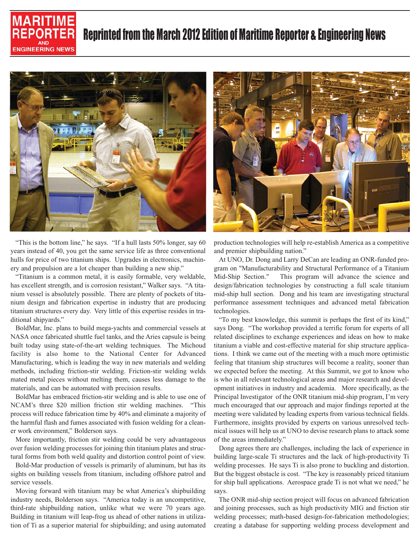



"This is the bottom line," he says. "If a hull lasts 50% longer, say 60 years instead of 40, you get the same service life as three conventional hulls for price of two titanium ships. Upgrades in electronics, machinery and propulsion are a lot cheaper than building a new ship."

"Titanium is a common metal, it is easily formable, very weldable, has excellent strength, and is corrosion resistant," Walker says. "A titanium vessel is absolutely possible. There are plenty of pockets of titanium design and fabrication expertise in industry that are producing titanium structures every day. Very little of this expertise resides in traditional shipyards."

BoldMar, Inc. plans to build mega-yachts and commercial vessels at NASA once fabricated shuttle fuel tanks, and the Aries capsule is being built today using state-of-the-art welding techniques. The Michoud facility is also home to the National Center for Advanced Manufacturing, which is leading the way in new materials and welding methods, including friction-stir welding. Friction-stir welding welds mated metal pieces without melting them, causes less damage to the materials, and can be automated with precision results.

BoldMar has embraced friction-stir welding and is able to use one of NCAM's three \$20 million friction stir welding machines. "This process will reduce fabrication time by 40% and eliminate a majority of the harmful flash and fumes associated with fusion welding for a cleaner work environment," Bolderson says.

More importantly, friction stir welding could be very advantageous over fusion welding processes for joining thin titanium plates and structural forms from both weld quality and distortion control point of view.

Bold-Mar production of vessels is primarily of aluminum, but has its sights on building vessels from titanium, including offshore patrol and service vessels.

Moving forward with titanium may be what America's shipbuilding industry needs, Bolderson says. "America today is an uncompetitive, third-rate shipbuilding nation, unlike what we were 70 years ago. Building in titanium will leap-frog us ahead of other nations in utilization of Ti as a superior material for shipbuilding; and using automated



production technologies will help re-establish America as a competitive and premier shipbuilding nation."

At UNO, Dr. Dong and Larry DeCan are leading an ONR-funded program on "Manufacturability and Structural Performance of a Titanium Mid-Ship Section." This program will advance the science and design/fabrication technologies by constructing a full scale titanium mid-ship hull section. Dong and his team are investigating structural performance assessment techniques and advanced metal fabrication technologies.

"To my best knowledge, this summit is perhaps the first of its kind," says Dong. "The workshop provided a terrific forum for experts of all related disciplines to exchange experiences and ideas on how to make titanium a viable and cost-effective material for ship structure applications. I think we came out of the meeting with a much more optimistic feeling that titanium ship structures will become a reality, sooner than we expected before the meeting. At this Summit, we got to know who is who in all relevant technological areas and major research and development initiatives in industry and academia. More specifically, as the Principal Investigator of the ONR titanium mid-ship program, I'm very much encouraged that our approach and major findings reported at the meeting were validated by leading experts from various technical fields. Furthermore, insights provided by experts on various unresolved technical issues will help us at UNO to devise research plans to attack some of the areas immediately."

Dong agrees there are challenges, including the lack of experience in building large-scale Ti structures and the lack of high-productivity Ti welding processes. He says Ti is also prone to buckling and distortion. But the biggest obstacle is cost. "The key is reasonably priced titanium for ship hull applications. Aerospace grade Ti is not what we need," he says.

The ONR mid-ship section project will focus on advanced fabrication and joining processes, such as high productivity MIG and friction stir welding processes; math-based design-for-fabrication methodologies; creating a database for supporting welding process development and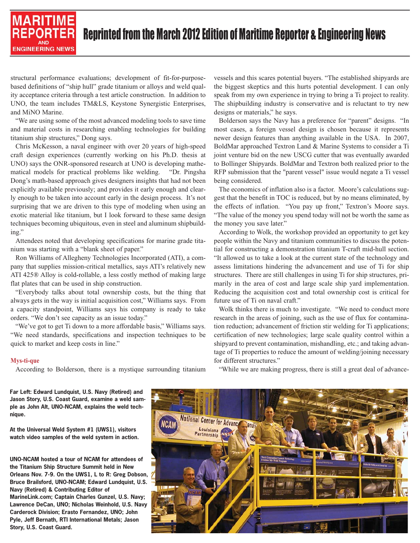### **MARITIME** RFPORT **ENGINEERING NEWS**

## Reprinted from the March 2012 Edition of Maritime Reporter & Engineering News

structural performance evaluations; development of fit-for-purposebased definitions of "ship hull" grade titanium or alloys and weld quality acceptance criteria through a test article construction. In addition to UNO, the team includes TM&LS, Keystone Synergistic Enterprises, and MiNO Marine.

"We are using some of the most advanced modeling tools to save time and material costs in researching enabling technologies for building titanium ship structures," Dong says.

Chris McKesson, a naval engineer with over 20 years of high-speed craft design experiences (currently working on his Ph.D. thesis at UNO) says the ONR-sponsored research at UNO is developing mathematical models for practical problems like welding. "Dr. Pingsha Dong's math-based approach gives designers insights that had not been explicitly available previously; and provides it early enough and clearly enough to be taken into account early in the design process. It's not surprising that we are driven to this type of modeling when using an exotic material like titanium, but I look forward to these same design techniques becoming ubiquitous, even in steel and aluminum shipbuilding."

Attendees noted that developing specifications for marine grade titanium was starting with a "blank sheet of paper."

Ron Williams of Allegheny Technologies Incorporated (ATI), a company that supplies mission-critical metallics, says ATI's relatively new ATI 425® Alloy is cold-rollable, a less costly method of making large flat plates that can be used in ship construction.

"Everybody talks about total ownership costs, but the thing that always gets in the way is initial acquisition cost," Williams says. From a capacity standpoint, Williams says his company is ready to take orders. "We don't see capacity as an issue today."

"We've got to get Ti down to a more affordable basis," Williams says. "We need standards, specifications and inspection techniques to be quick to market and keep costs in line."

#### **Mys-ti-que**

According to Bolderson, there is a mystique surrounding titanium

vessels and this scares potential buyers. "The established shipyards are the biggest skeptics and this hurts potential development. I can only speak from my own experience in trying to bring a Ti project to reality. The shipbuilding industry is conservative and is reluctant to try new designs or materials," he says.

Bolderson says the Navy has a preference for "parent" designs. "In most cases, a foreign vessel design is chosen because it represents newer design features than anything available in the USA. In 2007, BoldMar approached Textron Land & Marine Systems to consider a Ti joint venture bid on the new USCG cutter that was eventually awarded to Bollinger Shipyards. BoldMar and Textron both realized prior to the RFP submission that the "parent vessel" issue would negate a Ti vessel being considered.

The economics of inflation also is a factor. Moore's calculations suggest that the benefit in TOC is reduced, but by no means eliminated, by the effects of inflation. "You pay up front," Textron's Moore says. "The value of the money you spend today will not be worth the same as the money you save later."

According to Wolk, the workshop provided an opportunity to get key people within the Navy and titanium communities to discuss the potential for constructing a demonstration titanium T-craft mid-hull section. "It allowed us to take a look at the current state of the technology and assess limitations hindering the advancement and use of Ti for ship structures. There are still challenges in using Ti for ship structures, primarily in the area of cost and large scale ship yard implementation. Reducing the acquisition cost and total ownership cost is critical for future use of Ti on naval craft."

Wolk thinks there is much to investigate. "We need to conduct more research in the areas of joining, such as the use of flux for contamination reduction; advancement of friction stir welding for Ti applications; certification of new technologies; large scale quality control within a shipyard to prevent contamination, mishandling, etc.; and taking advantage of Ti properties to reduce the amount of welding/joining necessary for different structures."

**Far Left: Edward Lundquist, U.S. Navy (Retired) and Jason Story, U.S. Coast Guard, examine a weld sample as John Alt, UNO-NCAM, explains the weld technique.**

**At the Universal Weld System #1 (UWS1), visitors watch video samples of the weld system in action.**

**UNO-NCAM hosted a tour of NCAM for attendees of the Titanium Ship Structure Summit held in New Orleans Nov. 7-9. On the UWS1, L to R: Greg Dobson, Bruce Brailsford, UNO-NCAM; Edward Lundquist, U.S. Navy (Retired) & Contributing Editor of MarineLink.com; Captain Charles Gunzel, U.S. Navy; Lawrence DeCan, UNO; Nicholas Weinhold, U.S. Navy Carderock Division; Erasto Fernandez, UNO; John Pyle, Jeff Bernath, RTI International Metals; Jason Story, U.S. Coast Guard.**

"While we are making progress, there is still a great deal of advance-